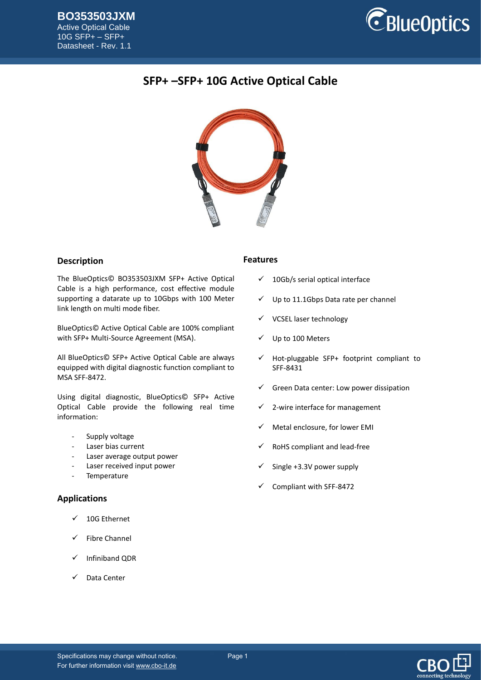

# **SFP+ –SFP+ 10G Active Optical Cable**



# **Description**

The BlueOptics© BO353503JXM SFP+ Active Optical Cable is a high performance, cost effective module supporting a datarate up to 10Gbps with 100 Meter link length on multi mode fiber.

BlueOptics© Active Optical Cable are 100% compliant with SFP+ Multi-Source Agreement (MSA).

All BlueOptics© SFP+ Active Optical Cable are always equipped with digital diagnostic function compliant to MSA SFF-8472.

Using digital diagnostic, BlueOptics© SFP+ Active Optical Cable provide the following real time information:

- Supply voltage
- Laser bias current
- Laser average output power
- Laser received input power
- **Temperature**

### **Applications**

- 10G Ethernet
- Fibre Channel
- ✓ Infiniband QDR
- Data Center

### **Features**

- $\checkmark$  10Gb/s serial optical interface
- Up to 11.1Gbps Data rate per channel
- ✓ VCSEL laser technology
- Up to 100 Meters
- $\checkmark$  Hot-pluggable SFP+ footprint compliant to SFF-8431
- Green Data center: Low power dissipation
- 2-wire interface for management
- Metal enclosure, for lower EMI
- RoHS compliant and lead-free
- Single +3.3V power supply
- Compliant with SFF-8472



Specifications may change without notice. Page 1 For further information visi[t www.cbo-it.de](www.cbo-it.de)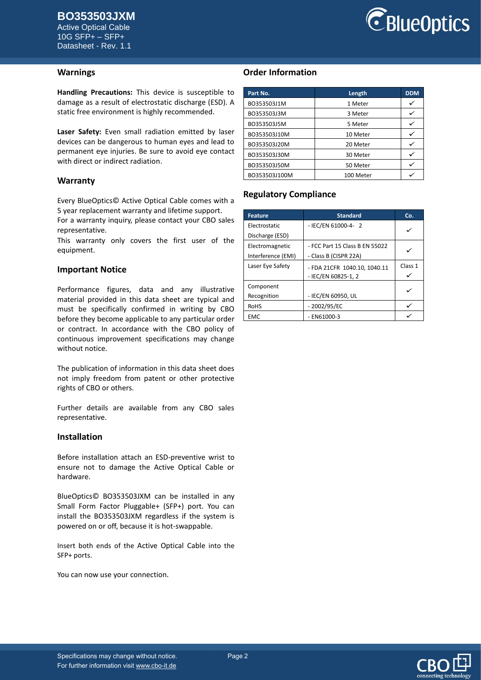Active Optical Cable 10G SFP+ – SFP+ Datasheet - Rev. 1.1



#### **Warnings**

**Handling Precautions:** This device is susceptible to damage as a result of electrostatic discharge (ESD). A static free environment is highly recommended.

**Laser Safety:** Even small radiation emitted by laser devices can be dangerous to human eyes and lead to permanent eye injuries. Be sure to avoid eye contact with direct or indirect radiation.

#### **Warranty**

Every BlueOptics© Active Optical Cable comes with a 5 year replacement warranty and lifetime support.

For a warranty inquiry, please contact your CBO sales representative.

This warranty only covers the first user of the equipment.

#### **Important Notice**

Performance figures, data and any illustrative material provided in this data sheet are typical and must be specifically confirmed in writing by CBO before they become applicable to any particular order or contract. In accordance with the CBO policy of continuous improvement specifications may change without notice.

The publication of information in this data sheet does not imply freedom from patent or other protective rights of CBO or others.

Further details are available from any CBO sales representative.

#### **Installation**

Before installation attach an ESD-preventive wrist to ensure not to damage the Active Optical Cable or hardware.

BlueOptics© BO353503JXM can be installed in any Small Form Factor Pluggable+ (SFP+) port. You can install the BO353503JXM regardless if the system is powered on or off, because it is hot-swappable.

Insert both ends of the Active Optical Cable into the SFP+ ports.

You can now use your connection.

# **Order Information**

| Part No.      | Length    | <b>DDM</b> |
|---------------|-----------|------------|
| BO353503J1M   | 1 Meter   |            |
| BO353503J3M   | 3 Meter   |            |
| BO353503J5M   | 5 Meter   |            |
| BO353503J10M  | 10 Meter  |            |
| BO353503J20M  | 20 Meter  |            |
| BO353503J30M  | 30 Meter  |            |
| BO353503J50M  | 50 Meter  |            |
| BO353503J100M | 100 Meter |            |

### **Regulatory Compliance**

| <b>Feature</b>     | <b>Standard</b>                | Co.     |  |
|--------------------|--------------------------------|---------|--|
| Electrostatic      | - IEC/EN 61000-4- 2            | ✓       |  |
| Discharge (ESD)    |                                |         |  |
| Electromagnetic    | - FCC Part 15 Class B EN 55022 |         |  |
| Interference (EMI) | - Class B (CISPR 22A)          |         |  |
| Laser Eye Safety   | - FDA 21CFR 1040.10, 1040.11   | Class 1 |  |
|                    | - IEC/EN 60825-1.2             |         |  |
| Component          |                                |         |  |
| Recognition        | - IEC/EN 60950, UL             |         |  |
| <b>RoHS</b>        | - 2002/95/EC                   |         |  |
| <b>EMC</b>         | - EN61000-3                    |         |  |

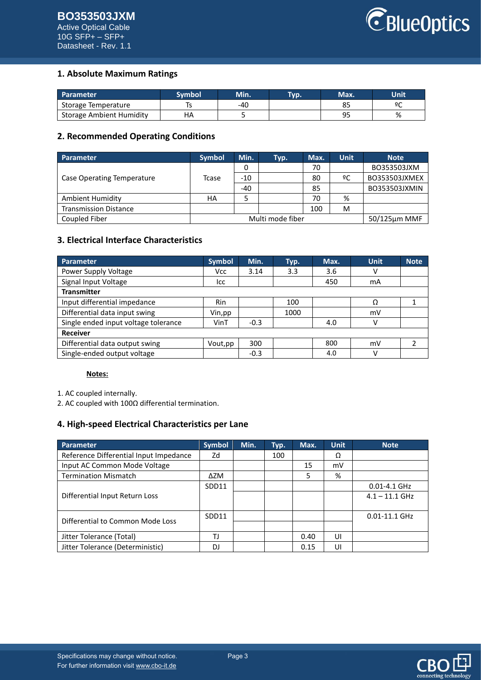

# **1. Absolute Maximum Ratings**

| Parameter                       | Svmbol | Min. | Tvp. | Max. | Unit |
|---------------------------------|--------|------|------|------|------|
| Storage Temperature             |        | -40  |      |      | ം ഉ  |
| <b>Storage Ambient Humidity</b> |        |      |      | ۵r   | %    |

### **2. Recommended Operating Conditions**

| Parameter                    | <b>Symbol</b>    | Min.  | Typ. | Max. | Unit | <b>Note</b>          |
|------------------------------|------------------|-------|------|------|------|----------------------|
|                              |                  | 0     |      | 70   |      | BO353503JXM          |
| Case Operating Temperature   | Tcase            | $-10$ |      | 80   | ºC   | <b>BO353503JXMEX</b> |
|                              |                  | -40   |      | 85   |      | BO353503JXMIN        |
| <b>Ambient Humidity</b>      | НA               |       |      | 70   | %    |                      |
| <b>Transmission Distance</b> |                  |       |      | 100  | M    |                      |
| Coupled Fiber                | Multi mode fiber |       |      |      |      | $50/125 \mu m$ MMF   |

# **3. Electrical Interface Characteristics**

| Parameter                            | <b>Symbol</b> | Min.   | Typ. | Max. | <b>Unit</b> | <b>Note</b> |
|--------------------------------------|---------------|--------|------|------|-------------|-------------|
| Power Supply Voltage                 | <b>Vcc</b>    | 3.14   | 3.3  | 3.6  | v           |             |
| Signal Input Voltage                 | lcc           |        |      | 450  | mA          |             |
| <b>Transmitter</b>                   |               |        |      |      |             |             |
| Input differential impedance         | Rin           |        | 100  |      | Ω           |             |
| Differential data input swing        | Vin, pp       |        | 1000 |      | mV          |             |
| Single ended input voltage tolerance | VinT          | $-0.3$ |      | 4.0  | v           |             |
| <b>Receiver</b>                      |               |        |      |      |             |             |
| Differential data output swing       | Vout,pp       | 300    |      | 800  | mV          |             |
| Single-ended output voltage          |               | $-0.3$ |      | 4.0  | v           |             |

#### **Notes:**

1. AC coupled internally.

2. AC coupled with 100Ω differential termination.

### **4. High-speed Electrical Characteristics per Lane**

| <b>Parameter</b>                       | <b>Symbol</b> | Min. | Typ. | Max. | <b>Unit</b> | <b>Note</b>       |
|----------------------------------------|---------------|------|------|------|-------------|-------------------|
| Reference Differential Input Impedance | Zd            |      | 100  |      | Ω           |                   |
| Input AC Common Mode Voltage           |               |      |      | 15   | mV          |                   |
| <b>Termination Mismatch</b>            | ΔZM           |      |      | 5    | %           |                   |
|                                        | SDD11         |      |      |      |             | $0.01 - 4.1$ GHz  |
| Differential Input Return Loss         |               |      |      |      |             | $4.1 - 11.1$ GHz  |
|                                        |               |      |      |      |             |                   |
| Differential to Common Mode Loss       | SDD11         |      |      |      |             | $0.01 - 11.1$ GHz |
|                                        |               |      |      |      |             |                   |
| Jitter Tolerance (Total)               | TJ            |      |      | 0.40 | UI          |                   |
| Jitter Tolerance (Deterministic)       | D.            |      |      | 0.15 | UI          |                   |

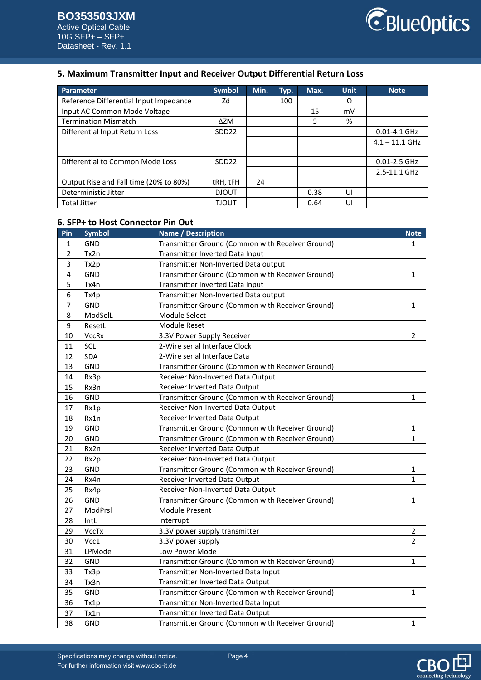# **5. Maximum Transmitter Input and Receiver Output Differential Return Loss**

| Parameter                              | <b>Symbol</b>     | Min. | Typ. | Max. | <b>Unit</b> | <b>Note</b>      |
|----------------------------------------|-------------------|------|------|------|-------------|------------------|
| Reference Differential Input Impedance | Zd                |      | 100  |      | Ω           |                  |
| Input AC Common Mode Voltage           |                   |      |      | 15   | mV          |                  |
| <b>Termination Mismatch</b>            | ΔZM               |      |      | 5    | %           |                  |
| Differential Input Return Loss         | SDD <sub>22</sub> |      |      |      |             | $0.01 - 4.1$ GHz |
|                                        |                   |      |      |      |             | $4.1 - 11.1$ GHz |
|                                        |                   |      |      |      |             |                  |
| Differential to Common Mode Loss       | SDD <sub>22</sub> |      |      |      |             | 0.01-2.5 GHz     |
|                                        |                   |      |      |      |             | 2.5-11.1 GHz     |
| Output Rise and Fall time (20% to 80%) | tRH, tFH          | 24   |      |      |             |                  |
| Deterministic Jitter                   | <b>DJOUT</b>      |      |      | 0.38 | UI          |                  |
| <b>Total Jitter</b>                    | <b>TJOUT</b>      |      |      | 0.64 | U           |                  |

# **6. SFP+ to Host Connector Pin Out**

| Pin            | <b>Symbol</b> | <b>Name / Description</b>                                        |                |
|----------------|---------------|------------------------------------------------------------------|----------------|
| $\mathbf{1}$   | <b>GND</b>    | Transmitter Ground (Common with Receiver Ground)                 | 1              |
| $\overline{2}$ | Tx2n          | Transmitter Inverted Data Input                                  |                |
| 3              | Tx2p          | Transmitter Non-Inverted Data output                             |                |
| $\overline{4}$ | GND           | Transmitter Ground (Common with Receiver Ground)                 | $\mathbf{1}$   |
| 5              | Tx4n          | Transmitter Inverted Data Input                                  |                |
| 6              | Tx4p          | Transmitter Non-Inverted Data output                             |                |
| $\overline{7}$ | GND           | Transmitter Ground (Common with Receiver Ground)                 | $\mathbf{1}$   |
| 8              | ModSelL       | Module Select                                                    |                |
| 9              | ResetL        | Module Reset                                                     |                |
| 10             | <b>VccRx</b>  | 3.3V Power Supply Receiver                                       | $\overline{2}$ |
| 11             | SCL           | 2-Wire serial Interface Clock                                    |                |
| 12             | <b>SDA</b>    | 2-Wire serial Interface Data                                     |                |
| 13             | <b>GND</b>    | Transmitter Ground (Common with Receiver Ground)                 |                |
| 14             | Rx3p          | Receiver Non-Inverted Data Output                                |                |
| 15             | Rx3n          | Receiver Inverted Data Output                                    |                |
| 16             | GND           | Transmitter Ground (Common with Receiver Ground)                 | 1              |
| 17             | Rx1p          | Receiver Non-Inverted Data Output                                |                |
| 18             | Rx1n          | Receiver Inverted Data Output                                    |                |
| 19             | GND           | Transmitter Ground (Common with Receiver Ground)                 | 1              |
| 20             | GND           | Transmitter Ground (Common with Receiver Ground)<br>$\mathbf{1}$ |                |
| 21             | Rx2n          | Receiver Inverted Data Output                                    |                |
| 22             | Rx2p          | Receiver Non-Inverted Data Output                                |                |
| 23             | GND           | Transmitter Ground (Common with Receiver Ground)                 | 1              |
| 24             | Rx4n          | Receiver Inverted Data Output                                    | 1              |
| 25             | Rx4p          | Receiver Non-Inverted Data Output                                |                |
| 26             | GND           | Transmitter Ground (Common with Receiver Ground)                 | $\mathbf{1}$   |
| 27             | ModPrsl       | Module Present                                                   |                |
| 28             | IntL          | Interrupt                                                        |                |
| 29             | VccTx         | 3.3V power supply transmitter                                    | $\overline{2}$ |
| 30             | Vcc1          | 3.3V power supply                                                | $\overline{2}$ |
| 31             | LPMode        | Low Power Mode                                                   |                |
| 32             | <b>GND</b>    | Transmitter Ground (Common with Receiver Ground)                 | $\mathbf{1}$   |
| 33             | Tx3p          | Transmitter Non-Inverted Data Input                              |                |
| 34             | Tx3n          | Transmitter Inverted Data Output                                 |                |
| 35             | GND           | Transmitter Ground (Common with Receiver Ground)                 | 1              |
| 36             | Tx1p          | Transmitter Non-Inverted Data Input                              |                |
| 37             | Tx1n          | Transmitter Inverted Data Output                                 |                |
| 38             | GND           | Transmitter Ground (Common with Receiver Ground)                 | 1              |

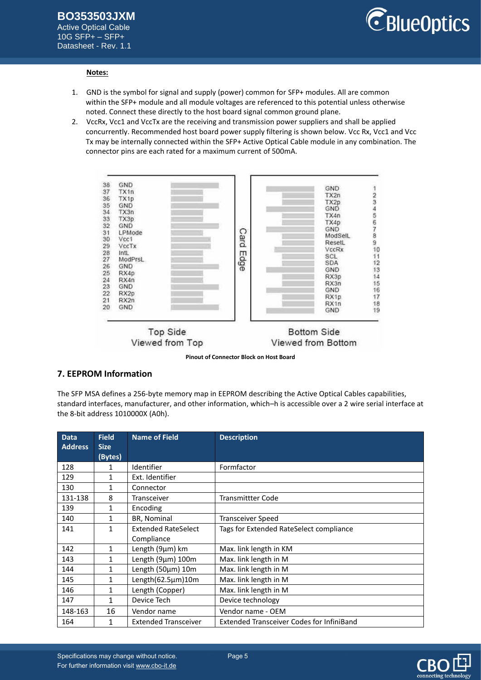Active Optical Cable 10G SFP+ – SFP+ Datasheet - Rev. 1.1



#### **Notes:**

- 1. GND is the symbol for signal and supply (power) common for SFP+ modules. All are common within the SFP+ module and all module voltages are referenced to this potential unless otherwise noted. Connect these directly to the host board signal common ground plane.
- 2. VccRx, Vcc1 and VccTx are the receiving and transmission power suppliers and shall be applied concurrently. Recommended host board power supply filtering is shown below. Vcc Rx, Vcc1 and Vcc Tx may be internally connected within the SFP+ Active Optical Cable module in any combination. The connector pins are each rated for a maximum current of 500mA.



**Pinout of Connector Block on Host Board**

### **7. EEPROM Information**

The SFP MSA defines a 256-byte memory map in EEPROM describing the Active Optical Cables capabilities, standard interfaces, manufacturer, and other information, which–h is accessible over a 2 wire serial interface at the 8-bit address 1010000X (A0h).

| <b>Data</b><br><b>Address</b> | <b>Field</b><br><b>Size</b> | <b>Name of Field</b>        | <b>Description</b>                               |
|-------------------------------|-----------------------------|-----------------------------|--------------------------------------------------|
|                               | (Bytes)                     |                             |                                                  |
| 128                           | 1                           | Identifier                  | Formfactor                                       |
| 129                           | 1                           | Ext. Identifier             |                                                  |
| 130                           | 1                           | Connector                   |                                                  |
| 131-138                       | 8                           | <b>Transceiver</b>          | <b>Transmittter Code</b>                         |
| 139                           | 1                           | Encoding                    |                                                  |
| 140                           | 1                           | BR, Nominal                 | <b>Transceiver Speed</b>                         |
| 141                           | 1                           | <b>Extended RateSelect</b>  | Tags for Extended RateSelect compliance          |
|                               |                             | Compliance                  |                                                  |
| 142                           | $\mathbf{1}$                | Length (9µm) km             | Max. link length in KM                           |
| 143                           | $\mathbf{1}$                | Length (9µm) 100m           | Max. link length in M                            |
| 144                           | 1                           | Length (50µm) 10m           | Max. link length in M                            |
| 145                           | $\mathbf{1}$                | Length(62.5µm)10m           | Max. link length in M                            |
| 146                           | 1                           | Length (Copper)             | Max. link length in M                            |
| 147                           | 1                           | Device Tech                 | Device technology                                |
| 148-163                       | 16                          | Vendor name                 | Vendor name - OEM                                |
| 164                           | 1                           | <b>Extended Transceiver</b> | <b>Extended Transceiver Codes for InfiniBand</b> |

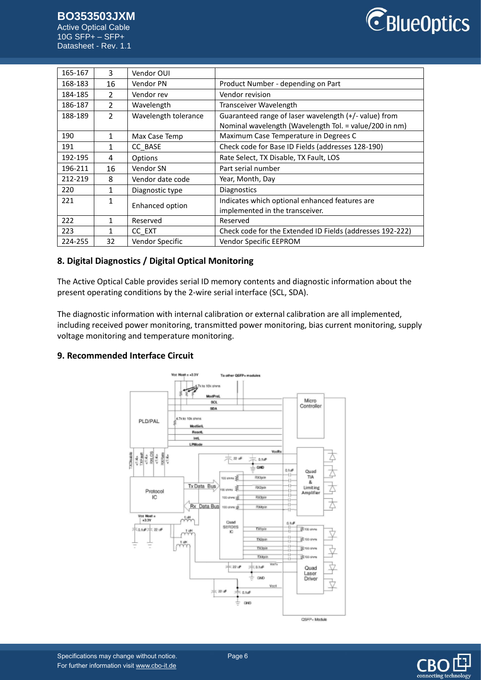10G SFP+ – SFP+ Datasheet - Rev. 1.1



| 165-167 | 3             | Vendor OUI           |                                                                                                                 |
|---------|---------------|----------------------|-----------------------------------------------------------------------------------------------------------------|
| 168-183 | 16            | Vendor PN            | Product Number - depending on Part                                                                              |
| 184-185 | $\mathcal{P}$ | Vendor rev           | Vendor revision                                                                                                 |
| 186-187 | $\mathcal{P}$ | Wavelength           | Transceiver Wavelength                                                                                          |
| 188-189 | $\mathcal{P}$ | Wavelength tolerance | Guaranteed range of laser wavelength (+/- value) from<br>Nominal wavelength (Wavelength Tol. = value/200 in nm) |
| 190     | 1             | Max Case Temp        | Maximum Case Temperature in Degrees C                                                                           |
| 191     | $\mathbf{1}$  | CC BASE              | Check code for Base ID Fields (addresses 128-190)                                                               |
| 192-195 | 4             | Options              | Rate Select, TX Disable, TX Fault, LOS                                                                          |
| 196-211 | 16            | Vendor SN            | Part serial number                                                                                              |
| 212-219 | 8             | Vendor date code     | Year, Month, Day                                                                                                |
| 220     | 1             | Diagnostic type      | <b>Diagnostics</b>                                                                                              |
| 221     | 1             | Enhanced option      | Indicates which optional enhanced features are                                                                  |
|         |               |                      | implemented in the transceiver.                                                                                 |
| 222     | 1             | Reserved             | Reserved                                                                                                        |
| 223     | 1             | CC EXT               | Check code for the Extended ID Fields (addresses 192-222)                                                       |
| 224-255 | 32            | Vendor Specific      | Vendor Specific EEPROM                                                                                          |

# **8. Digital Diagnostics / Digital Optical Monitoring**

The Active Optical Cable provides serial ID memory contents and diagnostic information about the present operating conditions by the 2-wire serial interface (SCL, SDA).

The diagnostic information with internal calibration or external calibration are all implemented, including received power monitoring, transmitted power monitoring, bias current monitoring, supply voltage monitoring and temperature monitoring.

### **9. Recommended Interface Circuit**